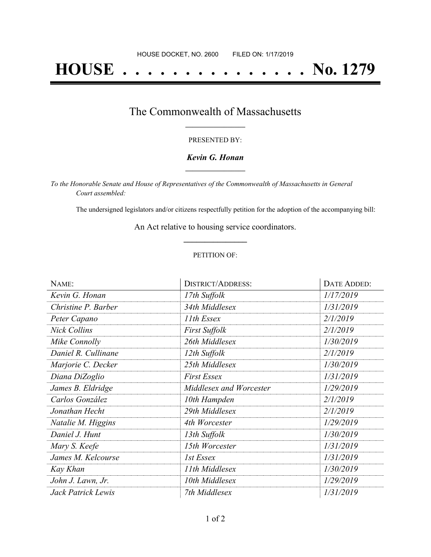# **HOUSE . . . . . . . . . . . . . . . No. 1279**

## The Commonwealth of Massachusetts **\_\_\_\_\_\_\_\_\_\_\_\_\_\_\_\_\_**

### PRESENTED BY:

### *Kevin G. Honan* **\_\_\_\_\_\_\_\_\_\_\_\_\_\_\_\_\_**

*To the Honorable Senate and House of Representatives of the Commonwealth of Massachusetts in General Court assembled:*

The undersigned legislators and/or citizens respectfully petition for the adoption of the accompanying bill:

An Act relative to housing service coordinators. **\_\_\_\_\_\_\_\_\_\_\_\_\_\_\_**

### PETITION OF:

| NAME:               | <b>DISTRICT/ADDRESS:</b> | DATE ADDED: |
|---------------------|--------------------------|-------------|
| Kevin G. Honan      | 17th Suffolk             | 1/17/2019   |
| Christine P. Barber | 34th Middlesex           | 1/31/2019   |
| Peter Capano        | 11th Essex               | 2/1/2019    |
| <b>Nick Collins</b> | First Suffolk            | 2/1/2019    |
| Mike Connolly       | 26th Middlesex           | 1/30/2019   |
| Daniel R. Cullinane | 12th Suffolk             | 2/1/2019    |
| Marjorie C. Decker  | 25th Middlesex           | 1/30/2019   |
| Diana DiZoglio      | <b>First Essex</b>       | 1/31/2019   |
| James B. Eldridge   | Middlesex and Worcester  | 1/29/2019   |
| Carlos González     | 10th Hampden             | 2/1/2019    |
| Jonathan Hecht      | 29th Middlesex           | 2/1/2019    |
| Natalie M. Higgins  | 4th Worcester            | 1/29/2019   |
| Daniel J. Hunt      | 13th Suffolk             | 1/30/2019   |
| Mary S. Keefe       | 15th Worcester           | 1/31/2019   |
| James M. Kelcourse  | 1st Essex                | 1/31/2019   |
| Kay Khan            | 11th Middlesex           | 1/30/2019   |
| John J. Lawn, Jr.   | 10th Middlesex           | 1/29/2019   |
| Jack Patrick Lewis  | 7th Middlesex            | 1/31/2019   |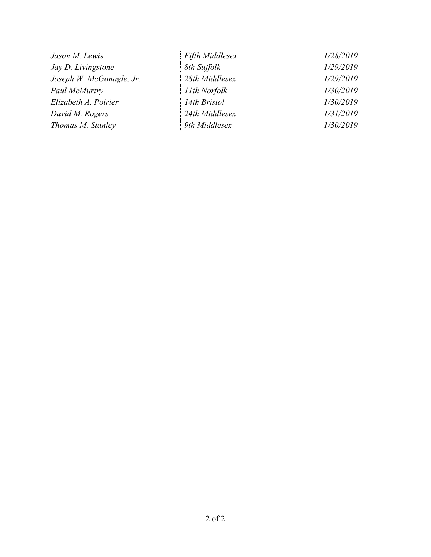| Jason M. Lewis           | <b>Fifth Middlesex</b> | 1/28/2019 |
|--------------------------|------------------------|-----------|
| Jay D. Livingstone       | 8th Suffolk            | 1/29/2019 |
| Joseph W. McGonagle, Jr. | 28th Middlesex         | 1/29/2019 |
| Paul McMurtry            | 11th Norfolk           | 1/30/2019 |
| Elizabeth A. Poirier     | 14th Bristol           | 1/30/2019 |
| David M. Rogers          | 24th Middlesex         | 1/31/2019 |
| Thomas M. Stanley        | 9th Middlesex          | 1/30/2019 |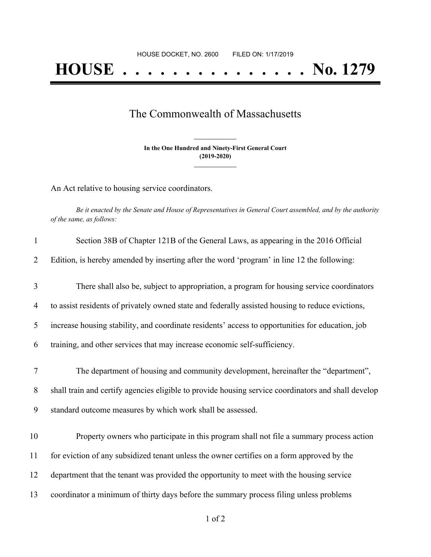# **HOUSE . . . . . . . . . . . . . . . No. 1279**

## The Commonwealth of Massachusetts

**In the One Hundred and Ninety-First General Court (2019-2020) \_\_\_\_\_\_\_\_\_\_\_\_\_\_\_**

**\_\_\_\_\_\_\_\_\_\_\_\_\_\_\_**

An Act relative to housing service coordinators.

Be it enacted by the Senate and House of Representatives in General Court assembled, and by the authority *of the same, as follows:*

| $\mathbf{1}$ | Section 38B of Chapter 121B of the General Laws, as appearing in the 2016 Official                  |
|--------------|-----------------------------------------------------------------------------------------------------|
| 2            | Edition, is hereby amended by inserting after the word 'program' in line 12 the following:          |
| 3            | There shall also be, subject to appropriation, a program for housing service coordinators           |
| 4            | to assist residents of privately owned state and federally assisted housing to reduce evictions,    |
| 5            | increase housing stability, and coordinate residents' access to opportunities for education, job    |
| 6            | training, and other services that may increase economic self-sufficiency.                           |
| $\tau$       | The department of housing and community development, hereinafter the "department",                  |
| 8            | shall train and certify agencies eligible to provide housing service coordinators and shall develop |
| 9            | standard outcome measures by which work shall be assessed.                                          |
| 10           | Property owners who participate in this program shall not file a summary process action             |
| 11           | for eviction of any subsidized tenant unless the owner certifies on a form approved by the          |
| 12           | department that the tenant was provided the opportunity to meet with the housing service            |
| 13           | coordinator a minimum of thirty days before the summary process filing unless problems              |